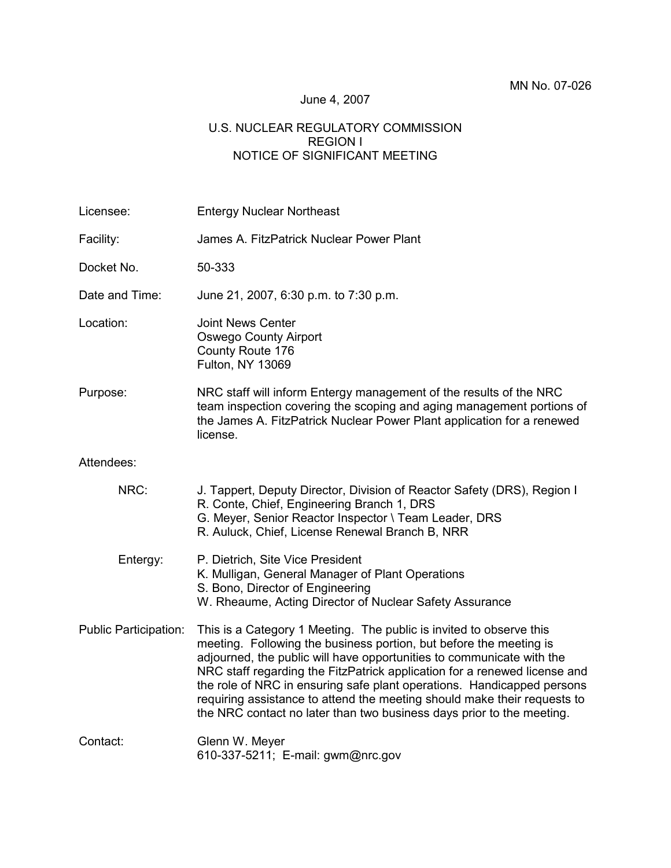### June 4, 2007

### U.S. NUCLEAR REGULATORY COMMISSION REGION I NOTICE OF SIGNIFICANT MEETING

| Licensee:                    | <b>Entergy Nuclear Northeast</b>                                                                                                                                                                                                                                                                                                                                                                                                                                                                                               |  |  |
|------------------------------|--------------------------------------------------------------------------------------------------------------------------------------------------------------------------------------------------------------------------------------------------------------------------------------------------------------------------------------------------------------------------------------------------------------------------------------------------------------------------------------------------------------------------------|--|--|
| Facility:                    | James A. FitzPatrick Nuclear Power Plant                                                                                                                                                                                                                                                                                                                                                                                                                                                                                       |  |  |
| Docket No.                   | 50-333                                                                                                                                                                                                                                                                                                                                                                                                                                                                                                                         |  |  |
| Date and Time:               | June 21, 2007, 6:30 p.m. to 7:30 p.m.                                                                                                                                                                                                                                                                                                                                                                                                                                                                                          |  |  |
| Location:                    | <b>Joint News Center</b><br><b>Oswego County Airport</b><br>County Route 176<br>Fulton, NY 13069                                                                                                                                                                                                                                                                                                                                                                                                                               |  |  |
| Purpose:                     | NRC staff will inform Entergy management of the results of the NRC<br>team inspection covering the scoping and aging management portions of<br>the James A. FitzPatrick Nuclear Power Plant application for a renewed<br>license.                                                                                                                                                                                                                                                                                              |  |  |
| Attendees:                   |                                                                                                                                                                                                                                                                                                                                                                                                                                                                                                                                |  |  |
| NRC:                         | J. Tappert, Deputy Director, Division of Reactor Safety (DRS), Region I<br>R. Conte, Chief, Engineering Branch 1, DRS<br>G. Meyer, Senior Reactor Inspector \ Team Leader, DRS<br>R. Auluck, Chief, License Renewal Branch B, NRR                                                                                                                                                                                                                                                                                              |  |  |
| Entergy:                     | P. Dietrich, Site Vice President<br>K. Mulligan, General Manager of Plant Operations<br>S. Bono, Director of Engineering<br>W. Rheaume, Acting Director of Nuclear Safety Assurance                                                                                                                                                                                                                                                                                                                                            |  |  |
| <b>Public Participation:</b> | This is a Category 1 Meeting. The public is invited to observe this<br>meeting. Following the business portion, but before the meeting is<br>adjourned, the public will have opportunities to communicate with the<br>NRC staff regarding the FitzPatrick application for a renewed license and<br>the role of NRC in ensuring safe plant operations. Handicapped persons<br>requiring assistance to attend the meeting should make their requests to<br>the NRC contact no later than two business days prior to the meeting. |  |  |
| Contact:                     | Glenn W. Meyer<br>610-337-5211; E-mail: gwm@nrc.gov                                                                                                                                                                                                                                                                                                                                                                                                                                                                            |  |  |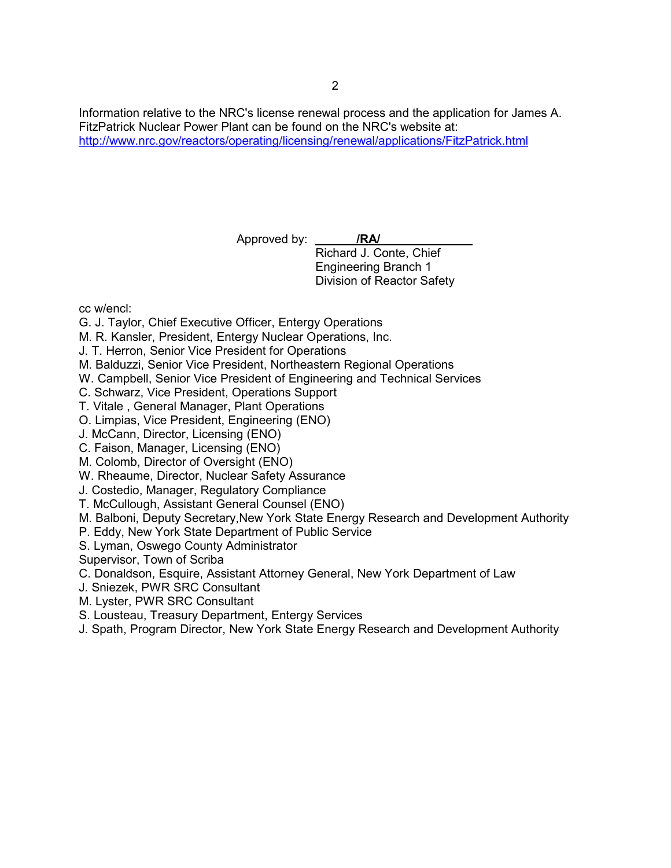Information relative to the NRC's license renewal process and the application for James A. FitzPatrick Nuclear Power Plant can be found on the NRC's website at: http://www.nrc.gov/reactors/operating/licensing/renewal/applications/FitzPatrick.html

Approved by: **/RA/**

Richard J. Conte, Chief Engineering Branch 1 Division of Reactor Safety

cc w/encl:

- G. J. Taylor, Chief Executive Officer, Entergy Operations
- M. R. Kansler, President, Entergy Nuclear Operations, Inc.
- J. T. Herron, Senior Vice President for Operations
- M. Balduzzi, Senior Vice President, Northeastern Regional Operations
- W. Campbell, Senior Vice President of Engineering and Technical Services
- C. Schwarz, Vice President, Operations Support
- T. Vitale , General Manager, Plant Operations
- O. Limpias, Vice President, Engineering (ENO)
- J. McCann, Director, Licensing (ENO)
- C. Faison, Manager, Licensing (ENO)
- M. Colomb, Director of Oversight (ENO)
- W. Rheaume, Director, Nuclear Safety Assurance
- J. Costedio, Manager, Regulatory Compliance
- T. McCullough, Assistant General Counsel (ENO)
- M. Balboni, Deputy Secretary,New York State Energy Research and Development Authority
- P. Eddy, New York State Department of Public Service
- S. Lyman, Oswego County Administrator
- Supervisor, Town of Scriba
- C. Donaldson, Esquire, Assistant Attorney General, New York Department of Law
- J. Sniezek, PWR SRC Consultant
- M. Lyster, PWR SRC Consultant
- S. Lousteau, Treasury Department, Entergy Services
- J. Spath, Program Director, New York State Energy Research and Development Authority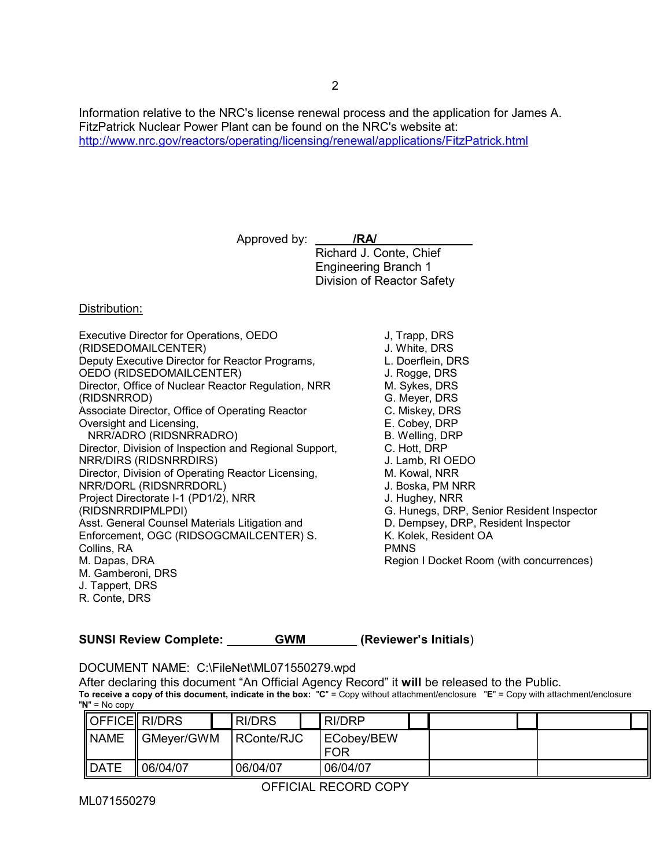Information relative to the NRC's license renewal process and the application for James A. FitzPatrick Nuclear Power Plant can be found on the NRC's website at: http://www.nrc.gov/reactors/operating/licensing/renewal/applications/FitzPatrick.html

Approved by: **/RA/**

Richard J. Conte, Chief Engineering Branch 1 Division of Reactor Safety

#### Distribution:

- Executive Director for Operations, OEDO (RIDSEDOMAILCENTER) Deputy Executive Director for Reactor Programs, OEDO (RIDSEDOMAILCENTER) Director, Office of Nuclear Reactor Regulation, NRR (RIDSNRROD) Associate Director, Office of Operating Reactor Oversight and Licensing, NRR/ADRO (RIDSNRRADRO) Director, Division of Inspection and Regional Support, NRR/DIRS (RIDSNRRDIRS) Director, Division of Operating Reactor Licensing, NRR/DORL (RIDSNRRDORL) Project Directorate I-1 (PD1/2), NRR (RIDSNRRDIPMLPDI) Asst. General Counsel Materials Litigation and Enforcement, OGC (RIDSOGCMAILCENTER) S. Collins, RA M. Dapas, DRA M. Gamberoni, DRS J. Tappert, DRS R. Conte, DRS
- J, Trapp, DRS J. White, DRS L. Doerflein, DRS J. Rogge, DRS M. Sykes, DRS G. Meyer, DRS C. Miskey, DRS E. Cobey, DRP B. Welling, DRP C. Hott, DRP J. Lamb, RI OEDO M. Kowal, NRR J. Boska, PM NRR J. Hughey, NRR G. Hunegs, DRP, Senior Resident Inspector D. Dempsey, DRP, Resident Inspector K. Kolek, Resident OA PMNS Region I Docket Room (with concurrences)

**SUNSI Review Complete: GWM (Reviewer's Initials**)

DOCUMENT NAME: C:\FileNet\ML071550279.wpd

After declaring this document "An Official Agency Record" it **will** be released to the Public.

**To receive a copy of this document, indicate in the box:** "**C**" = Copy without attachment/enclosure "**E**" = Copy with attachment/enclosure "**N**" = No copy

| OFFICE RI/DRS |            | <b>RI/DRS</b> | RI/DRP            |  |
|---------------|------------|---------------|-------------------|--|
| <b>NAME</b>   | GMever/GWM | RConte/RJC    | ECobey/BEW<br>FOR |  |
| <b>DATE</b>   | 06/04/07   | 06/04/07      | 06/04/07          |  |

OFFICIAL RECORD COPY